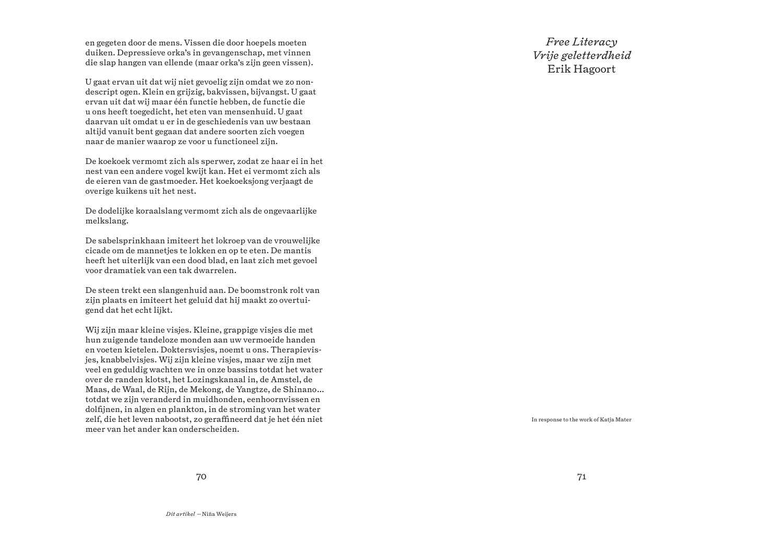en gegeten door de mens. Vissen die door hoepels moeten duiken. Depressieve orka's in gevangenschap, met vinnen die slap hangen van ellende (maar orka's zijn geen vissen).

U gaat ervan uit dat wij niet gevoelig zijn omdat we zo nondescript ogen. Klein en grijzig, bakvissen, bijvangst. U gaat ervan uit dat wij maar één functie hebben, de functie die u ons heeft toegedicht, het eten van mensenhuid. U gaat daarvan uit omdat u er in de geschiedenis van uw bestaan altijd vanuit bent gegaan dat andere soorten zich voegen naar de manier waarop ze voor u functioneel zijn.

De koekoek vermomt zich als sperwer, zodat ze haar ei in het nest van een andere vogel kwijt kan. Het ei vermomt zich als de eieren van de gastmoeder. Het koekoeksjong verjaagt de overige kuikens uit het nest.

De dodelijke koraalslang vermomt zich als de ongevaarlijke melkslang.

De sabelsprinkhaan imiteert het lokroep van de vrouwelijke cicade om de mannetjes te lokken en op te eten. De mantis heeft het uiterlijk van een dood blad, en laat zich met gevoel voor dramatiek van een tak dwarrelen.

De steen trekt een slangenhuid aan. De boomstronk rolt van zijn plaats en imiteert het geluid dat hij maakt zo overtuigend dat het echt lijkt.

Wij zijn maar kleine visjes. Kleine, grappige visjes die met hun zuigende tandeloze monden aan uw vermoeide handen en voeten kietelen. Doktersvisjes, noemt u ons. Therapievisjes, knabbelvisjes. Wij zijn kleine visjes, maar we zijn met veel en geduldig wachten we in onze bassins totdat het water over de randen klotst, het Lozingskanaal in, de Amstel, de Maas, de Waal, de Rijn, de Mekong, de Yangtze, de Shinano… totdat we zijn veranderd in muidhonden, eenhoornvissen en dolfijnen, in algen en plankton, in de stroming van het water zelf, die het leven nabootst, zo gerafneerd dat je het één niet meer van het ander kan onderscheiden.

*Free Literacy Vrije geletterdheid* Erik Hagoort

In response to the work of Katja Mater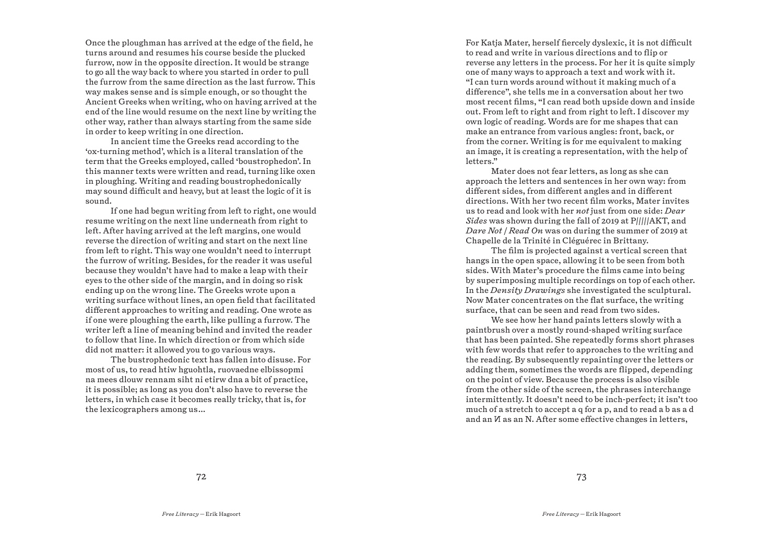Once the ploughman has arrived at the edge of the field, he turns around and resumes his course beside the plucked furrow, now in the opposite direction. It would be strange to go all the way back to where you started in order to pull the furrow from the same direction as the last furrow. This way makes sense and is simple enough, or so thought the Ancient Greeks when writing, who on having arrived at the end of the line would resume on the next line by writing the other way, rather than always starting from the same side in order to keep writing in one direction.

In ancient time the Greeks read according to the 'ox-turning method', which is a literal translation of the term that the Greeks employed, called 'boustrophedon'. In this manner texts were written and read, turning like oxen in ploughing. Writing and reading boustrophedonically may sound difficult and heavy, but at least the logic of it is sound.

If one had begun writing from left to right, one would resume writing on the next line underneath from right to left. After having arrived at the left margins, one would reverse the direction of writing and start on the next line from left to right. This way one wouldn't need to interrupt the furrow of writing. Besides, for the reader it was useful because they wouldn't have had to make a leap with their eyes to the other side of the margin, and in doing so risk ending up on the wrong line. The Greeks wrote upon a writing surface without lines, an open field that facilitated diferent approaches to writing and reading. One wrote as if one were ploughing the earth, like pulling a furrow. The writer left a line of meaning behind and invited the reader to follow that line. In which direction or from which side did not matter: it allowed you to go various ways.

The bustrophedonic text has fallen into disuse. For most of us, to read htiw hguohtla, ruovaedne elbissopmi na mees dlouw rennam siht ni etirw dna a bit of practice, it is possible; as long as you don't also have to reverse the letters, in which case it becomes really tricky, that is, for the lexicographers among us…

For Katja Mater, herself fiercely dyslexic, it is not difficult to read and write in various directions and to flip or reverse any letters in the process. For her it is quite simply one of many ways to approach a text and work with it. "I can turn words around without it making much of a diference", she tells me in a conversation about her two most recent films, "I can read both upside down and inside out. From left to right and from right to left. I discover my own logic of reading. Words are for me shapes that can make an entrance from various angles: front, back, or from the corner. Writing is for me equivalent to making an image, it is creating a representation, with the help of letters."

Mater does not fear letters, as long as she can approach the letters and sentences in her own way: from diferent sides, from diferent angles and in diferent directions. With her two recent film works, Mater invites us to read and look with her *not* just from one side: *Dear Sides* was shown during the fall of 2019 at P/////AKT, and *Dare Not | Read On* was on during the summer of 2019 at Chapelle de la Trinité in Cléguérec in Brittany.

The film is projected against a vertical screen that hangs in the open space, allowing it to be seen from both sides. With Mater's procedure the films came into being by superimposing multiple recordings on top of each other. In the *Density Drawings* she investigated the sculptural. Now Mater concentrates on the flat surface, the writing surface, that can be seen and read from two sides.

We see how her hand paints letters slowly with a paintbrush over a mostly round-shaped writing surface that has been painted. She repeatedly forms short phrases with few words that refer to approaches to the writing and the reading. By subsequently repainting over the letters or adding them, sometimes the words are flipped, depending on the point of view. Because the process is also visible from the other side of the screen, the phrases interchange intermittently. It doesn't need to be inch-perfect; it isn't too much of a stretch to accept a q for a p, and to read a b as a d and an  *as an N. After some effective changes in letters,*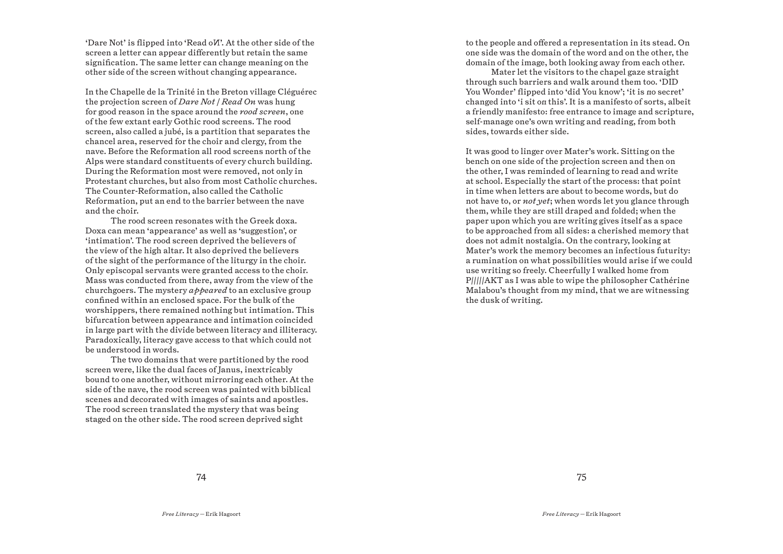'Dare Not' is flipped into 'Read oW'. At the other side of the screen a letter can appear diferently but retain the same signification. The same letter can change meaning on the other side of the screen without changing appearance.

In the Chapelle de la Trinité in the Breton village Cléguérec the projection screen of *Dare Not | Read On* was hung for good reason in the space around the *rood screen*, one of the few extant early Gothic rood screens. The rood screen, also called a jubé, is a partition that separates the chancel area, reserved for the choir and clergy, from the nave. Before the Reformation all rood screens north of the Alps were standard constituents of every church building. During the Reformation most were removed, not only in Protestant churches, but also from most Catholic churches. The Counter-Reformation, also called the Catholic Reformation, put an end to the barrier between the nave and the choir.

The rood screen resonates with the Greek doxa. Doxa can mean 'appearance' as well as 'suggestion', or 'intimation'. The rood screen deprived the believers of the view of the high altar. It also deprived the believers of the sight of the performance of the liturgy in the choir. Only episcopal servants were granted access to the choir. Mass was conducted from there, away from the view of the churchgoers. The mystery *appeared* to an exclusive group confined within an enclosed space. For the bulk of the worshippers, there remained nothing but intimation. This bifurcation between appearance and intimation coincided in large part with the divide between literacy and illiteracy. Paradoxically, literacy gave access to that which could not be understood in words.

The two domains that were partitioned by the rood screen were, like the dual faces of Janus, inextricably bound to one another, without mirroring each other. At the side of the nave, the rood screen was painted with biblical scenes and decorated with images of saints and apostles. The rood screen translated the mystery that was being staged on the other side. The rood screen deprived sight

to the people and ofered a representation in its stead. On one side was the domain of the word and on the other, the domain of the image, both looking away from each other.

Mater let the visitors to the chapel gaze straight through such barriers and walk around them too. 'DID You Wonder' flipped into 'did You know'; 'it is no secret' changed into 'i sit on this'. It is a manifesto of sorts, albeit a friendly manifesto: free entrance to image and scripture, self-manage one's own writing and reading, from both sides, towards either side.

It was good to linger over Mater's work. Sitting on the bench on one side of the projection screen and then on the other, I was reminded of learning to read and write at school. Especially the start of the process: that point in time when letters are about to become words, but do not have to, or *not yet*; when words let you glance through them, while they are still draped and folded; when the paper upon which you are writing gives itself as a space to be approached from all sides: a cherished memory that does not admit nostalgia. On the contrary, looking at Mater's work the memory becomes an infectious futurity: a rumination on what possibilities would arise if we could use writing so freely. Cheerfully I walked home from P/////AKT as I was able to wipe the philosopher Cathérine Malabou's thought from my mind, that we are witnessing the dusk of writing.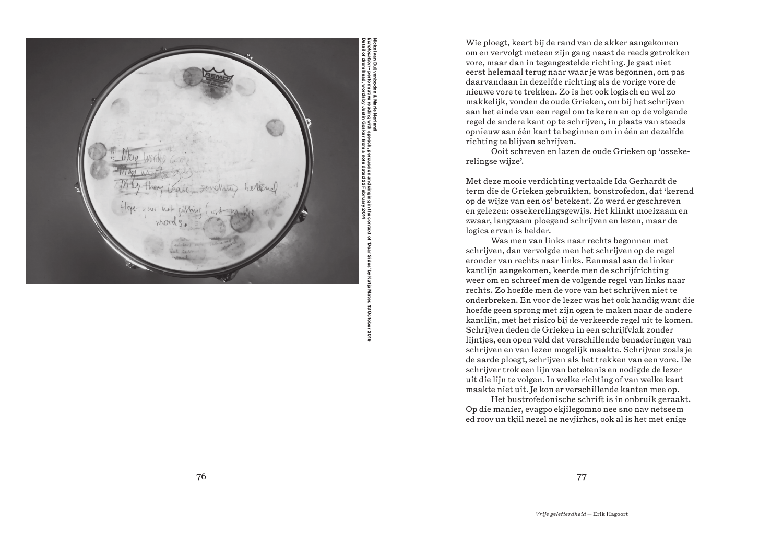

Nickel van Duijvenboden & Marie Nerland performative reading with speech, percussion and singing in the context of 'Dear Sides' by Katja Mater, 13 October 2019 201

Wie ploegt, keert bij de rand van de akker aangekomen om en vervolgt meteen zijn gang naast de reeds getrokken vore, maar dan in tegengestelde richting. Je gaat niet eerst helemaal terug naar waar je was begonnen, om pas daarvandaan in dezelfde richting als de vorige vore de nieuwe vore te trekken. Zo is het ook logisch en wel zo makkelijk, vonden de oude Grieken, om bij het schrijven aan het einde van een regel om te keren en op de volgende regel de andere kant op te schrijven, in plaats van steeds opnieuw aan één kant te beginnen om in één en dezelfde richting te blijven schrijven.

Ooit schreven en lazen de oude Grieken op 'osseke relingse wijze'.

Met deze mooie verdichting vertaalde Ida Gerhardt de term die de Grieken gebruikten, boustrofedon, dat 'kerend op de wijze van een os' betekent. Zo werd er geschreven en gelezen: ossekerelingsgewijs. Het klinkt moeizaam en zwaar, langzaam ploegend schrijven en lezen, maar de logica ervan is helder.

Was men van links naar rechts begonnen met schrijven, dan vervolgde men het schrijven op de regel eronder van rechts naar links. Eenmaal aan de linker kantlijn aangekomen, keerde men de schrijfrichting weer om en schreef men de volgende regel van links naar rechts. Zo hoefde men de vore van het schrijven niet te onderbreken. En voor de lezer was het ook handig want die hoefde geen sprong met zijn ogen te maken naar de andere kantlijn, met het risico bij de verkeerde regel uit te komen. Schrijven deden de Grieken in een schrijfvlak zonder lijntjes, een open veld dat verschillende benaderingen van schrijven en van lezen mogelijk maakte. Schrijven zoals je de aarde ploegt, schrijven als het trekken van een vore. De schrijver trok een lijn van betekenis en nodigde de lezer uit die lijn te volgen. In welke richting of van welke kant maakte niet uit. Je kon er verschillende kanten mee op.

Het bustrofedonische schrift is in onbruik geraakt. Op die manier, evagpo ekjilegomno nee sno nav netseem ed roov un tkjil nezel ne nevjirhcs, ook al is het met enige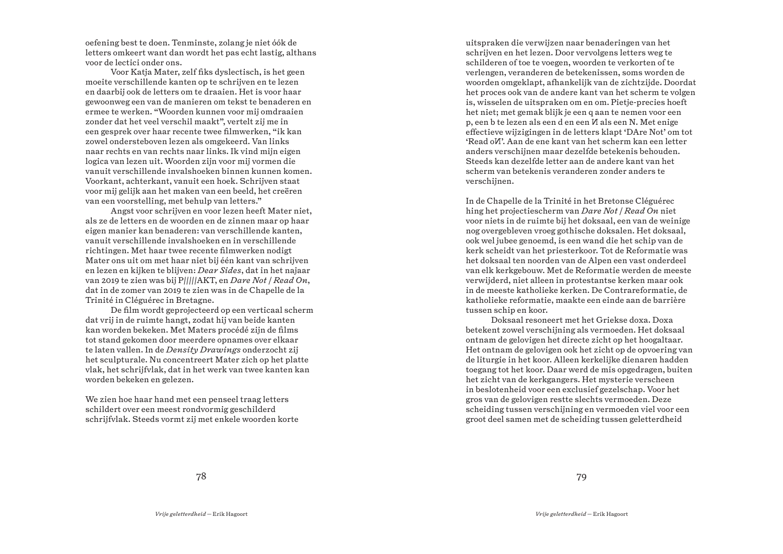oefening best te doen. Tenminste, zolang je niet óók de letters omkeert want dan wordt het pas echt lastig, althans voor de lectici onder ons.

Voor Katja Mater, zelf fiks dyslectisch, is het geen moeite verschillende kanten op te schrijven en te lezen en daarbij ook de letters om te draaien. Het is voor haar gewoonweg een van de manieren om tekst te benaderen en ermee te werken. "Woorden kunnen voor mij omdraaien zonder dat het veel verschil maakt", vertelt zij me in een gesprek over haar recente twee filmwerken, "ik kan zowel ondersteboven lezen als omgekeerd. Van links naar rechts en van rechts naar links. Ik vind mijn eigen logica van lezen uit. Woorden zijn voor mij vormen die vanuit verschillende invalshoeken binnen kunnen komen. Voorkant, achterkant, vanuit een hoek. Schrijven staat voor mij gelijk aan het maken van een beeld, het creëren van een voorstelling, met behulp van letters."

Angst voor schrijven en voor lezen heeft Mater niet, als ze de letters en de woorden en de zinnen maar op haar eigen manier kan benaderen: van verschillende kanten, vanuit verschillende invalshoeken en in verschillende richtingen. Met haar twee recente filmwerken nodigt Mater ons uit om met haar niet bij één kant van schrijven en lezen en kijken te blijven: *Dear Sides*, dat in het najaar van 2019 te zien was bij P/////AKT, en *Dare Not | Read On*, dat in de zomer van 2019 te zien was in de Chapelle de la Trinité in Cléguérec in Bretagne.

De film wordt geprojecteerd op een verticaal scherm dat vrij in de ruimte hangt, zodat hij van beide kanten kan worden bekeken. Met Maters procédé zijn de films tot stand gekomen door meerdere opnames over elkaar te laten vallen. In de *Density Drawings* onderzocht zij het sculpturale. Nu concentreert Mater zich op het platte vlak, het schrijfvlak, dat in het werk van twee kanten kan worden bekeken en gelezen.

We zien hoe haar hand met een penseel traag letters schildert over een meest rondvormig geschilderd schrijfvlak. Steeds vormt zij met enkele woorden korte

uitspraken die verwijzen naar benaderingen van het schrijven en het lezen. Door vervolgens letters weg te schilderen of toe te voegen, woorden te verkorten of te verlengen, veranderen de betekenissen, soms worden de woorden omgeklapt, afhankelijk van de zichtzijde. Doordat het proces ook van de andere kant van het scherm te volgen is, wisselen de uitspraken om en om. Pietje-precies hoeft het niet; met gemak blijk je een q aan te nemen voor een p, een b te lezen als een d en een  *als een N. Met enige* efectieve wijzigingen in de letters klapt 'DAre Not' om tot 'Read o V'. Aan de ene kant van het scherm kan een letter anders verschijnen maar dezelfde betekenis behouden. Steeds kan dezelfde letter aan de andere kant van het scherm van betekenis veranderen zonder anders te verschijnen.

In de Chapelle de la Trinité in het Bretonse Cléguérec hing het projectiescherm van *Dare Not | Read On* niet voor niets in de ruimte bij het doksaal, een van de weinige nog overgebleven vroeg gothische doksalen. Het doksaal, ook wel jubee genoemd, is een wand die het schip van de kerk scheidt van het priesterkoor. Tot de Reformatie was het doksaal ten noorden van de Alpen een vast onderdeel van elk kerkgebouw. Met de Reformatie werden de meeste verwijderd, niet alleen in protestantse kerken maar ook in de meeste katholieke kerken. De Contrareformatie, de katholieke reformatie, maakte een einde aan de barrière tussen schip en koor.

Doksaal resoneert met het Griekse doxa. Doxa betekent zowel verschijning als vermoeden. Het doksaal ontnam de gelovigen het directe zicht op het hoogaltaar. Het ontnam de gelovigen ook het zicht op de opvoering van de liturgie in het koor. Alleen kerkelijke dienaren hadden toegang tot het koor. Daar werd de mis opgedragen, buiten het zicht van de kerkgangers. Het mysterie verscheen in beslotenheid voor een exclusief gezelschap. Voor het gros van de gelovigen restte slechts vermoeden. Deze scheiding tussen verschijning en vermoeden viel voor een groot deel samen met de scheiding tussen geletterdheid